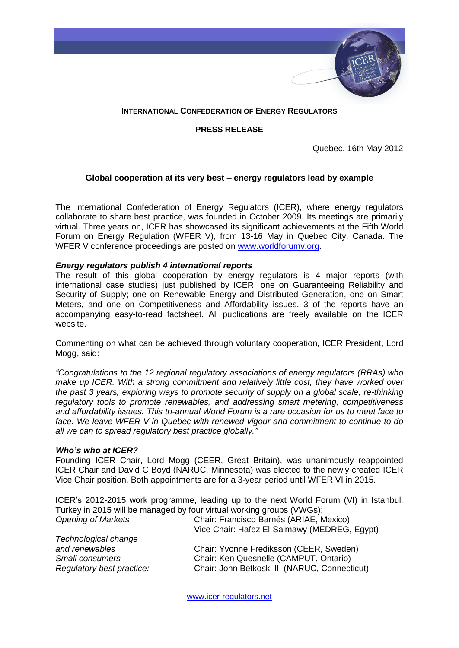

# **INTERNATIONAL CONFEDERATION OF ENERGY REGULATORS**

## **PRESS RELEASE**

Quebec, 16th May 2012

## **Global cooperation at its very best – energy regulators lead by example**

The International Confederation of Energy Regulators (ICER), where energy regulators collaborate to share best practice, was founded in October 2009. Its meetings are primarily virtual. Three years on, ICER has showcased its significant achievements at the Fifth World Forum on Energy Regulation (WFER V), from 13-16 May in Quebec City, Canada. The WFER V conference proceedings are posted on [www.worldforumv.org.](http://www.worldforumv.org/)

### *Energy regulators publish 4 international reports*

The result of this global cooperation by energy regulators is 4 major reports (with international case studies) just published by ICER: one on Guaranteeing Reliability and Security of Supply; one on Renewable Energy and Distributed Generation, one on Smart Meters, and one on Competitiveness and Affordability issues. 3 of the reports have an accompanying easy-to-read factsheet. All publications are freely available on the ICER website.

Commenting on what can be achieved through voluntary cooperation, ICER President, Lord Mogg, said:

*"Congratulations to the 12 regional regulatory associations of energy regulators (RRAs) who make up ICER. With a strong commitment and relatively little cost, they have worked over the past 3 years, exploring ways to promote security of supply on a global scale, re-thinking regulatory tools to promote renewables, and addressing smart metering, competitiveness and affordability issues. This tri-annual World Forum is a rare occasion for us to meet face to face. We leave WFER V in Quebec with renewed vigour and commitment to continue to do all we can to spread regulatory best practice globally."*

#### *Who's who at ICER?*

Founding ICER Chair, Lord Mogg (CEER, Great Britain), was unanimously reappointed ICER Chair and David C Boyd (NARUC, Minnesota) was elected to the newly created ICER Vice Chair position. Both appointments are for a 3-year period until WFER VI in 2015.

ICER's 2012-2015 work programme, leading up to the next World Forum (VI) in Istanbul, Turkey in 2015 will be managed by four virtual working groups (VWGs);

| Chair: Francisco Barnés (ARIAE, Mexico),<br>Vice Chair: Hafez El-Salmawy (MEDREG, Egypt) |
|------------------------------------------------------------------------------------------|
|                                                                                          |
| Chair: Yvonne Frediksson (CEER, Sweden)                                                  |
| Chair: Ken Quesnelle (CAMPUT, Ontario)                                                   |
| Chair: John Betkoski III (NARUC, Connecticut)                                            |
|                                                                                          |